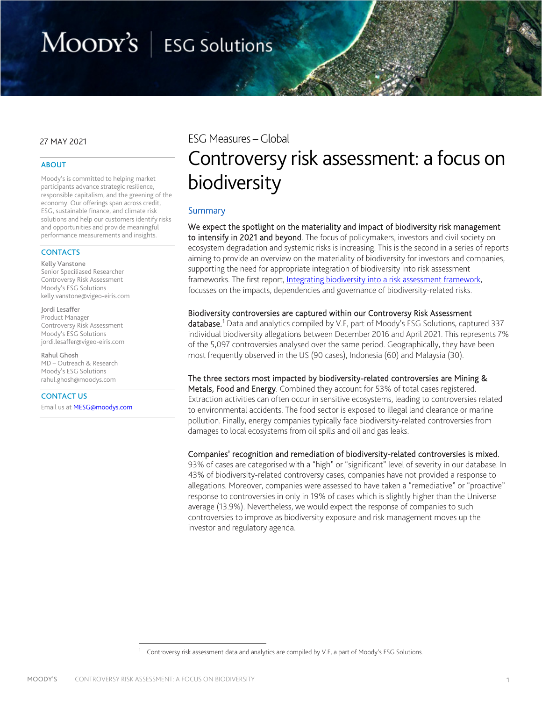# MOODY'S | ESG Solutions

### 27 MAY 2021

#### ABOUT

Moody's is committed to helping market participants advance strategic resilience, responsible capitalism, and the greening of the economy. Our offerings span across credit, ESG, sustainable finance, and climate risk solutions and help our customers identify risks and opportunities and provide meaningful performance measurements and insights.

#### **CONTACTS**

Kelly Vanstone

Senior Speciliased Researcher Controversy Risk Assessment Moody's ESG Solutions kelly.vanstone@vigeo-eiris.com

Jordi Lesaffer Product Manager Controversy Risk Assessment Moody's ESG Solutions jordi.lesaffer@vigeo-eiris.com

Rahul Ghosh MD – Outreach & Research Moody's ESG Solutions [rahul.ghosh@moodys.com](mailto:rahul.ghosh@moodys.com)

CONTACT US Email us at **MESG@moodys.com**  ESG Measures –Global

# Controversy risk assessment: a focus on biodiversity

# Summary

We expect the spotlight on the materiality and impact of biodiversity risk management to intensify in 2021 and beyond. The focus of policymakers, investors and civil society on ecosystem degradation and systemic risks is increasing. This is the second in a series of reports aiming to provide an overview on the materiality of biodiversity for investors and companies, supporting the need for appropriate integration of biodiversity into risk assessment frameworks. The first report, [Integrating biodiversity into a risk assessment framework,](https://assets.website-files.com/5df9172583d7eec04960799a/60ae1ddc5224b424e8247213_Integrating%20Biodiversity%20into%20a%20Risk%20Assessment%20Framework%205.26.2021.pdf)  focusses on the impacts, dependencies and governance of biodiversity-related risks.

#### Biodiversity controversies are captured within our Controversy Risk Assessment

database.<sup>[1](#page-0-0)</sup> Data and analytics compiled by V.E, part of Moody's ESG Solutions, captured 337 individual biodiversity allegations between December 2016 and April 2021. This represents 7% of the 5,097 controversies analysed over the same period. Geographically, they have been most frequently observed in the US (90 cases), Indonesia (60) and Malaysia (30).

#### The three sectors most impacted by biodiversity-related controversies are Mining &

Metals, Food and Energy. Combined they account for 53% of total cases registered. Extraction activities can often occur in sensitive ecosystems, leading to controversies related to environmental accidents. The food sector is exposed to illegal land clearance or marine pollution. Finally, energy companies typically face biodiversity-related controversies from damages to local ecosystems from oil spills and oil and gas leaks.

#### Companies' recognition and remediation of biodiversity-related controversies is mixed.

93% of cases are categorised with a "high" or "significant" level of severity in our database. In 43% of biodiversity-related controversy cases, companies have not provided a response to allegations. Moreover, companies were assessed to have taken a "remediative" or "proactive" response to controversies in only in 19% of cases which is slightly higher than the Universe average (13.9%). Nevertheless, we would expect the response of companies to such controversies to improve as biodiversity exposure and risk management moves up the investor and regulatory agenda.

<span id="page-0-0"></span>Controversy risk assessment data and analytics are compiled by V.E, a part of Moody's ESG Solutions.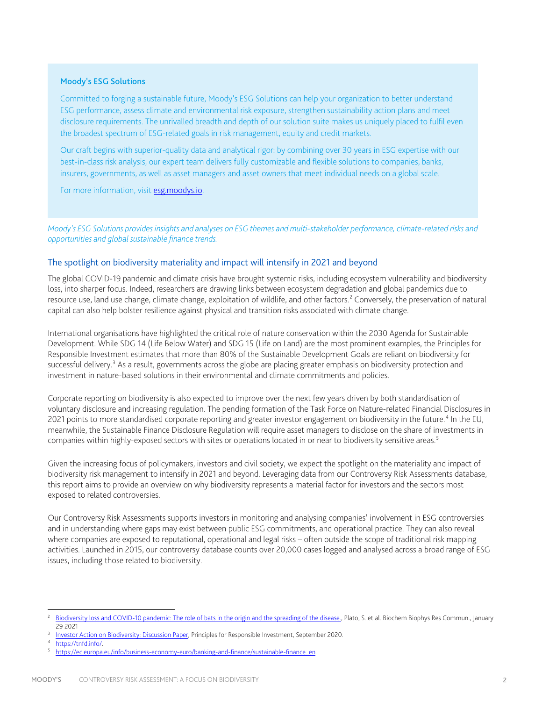### Moody's ESG Solutions

Committed to forging a sustainable future, Moody's ESG Solutions can help your organization to better understand ESG performance, assess climate and environmental risk exposure, strengthen sustainability action plans and meet disclosure requirements. The unrivalled breadth and depth of our solution suite makes us uniquely placed to fulfil even the broadest spectrum of ESG-related goals in risk management, equity and credit markets.

Our craft begins with superior-quality data and analytical rigor: by combining over 30 years in ESG expertise with our best-in-class risk analysis, our expert team delivers fully customizable and flexible solutions to companies, banks, insurers, governments, as well as asset managers and asset owners that meet individual needs on a global scale.

For more information, visi[t esg.moodys.io.](https://esg.moodys.io/)

*Moody's ESG Solutions provides insights and analyses on ESG themes and multi-stakeholder performance, climate-related risks and opportunities and global sustainable finance trends.* 

# The spotlight on biodiversity materiality and impact will intensify in 2021 and beyond

The global COVID-19 pandemic and climate crisis have brought systemic risks, including ecosystem vulnerability and biodiversity loss, into sharper focus. Indeed, researchers are drawing links between ecosystem degradation and global pandemics due to resource use, land use change, climate change, exploitation of wildlife, and other factors.<sup>[2](#page-1-0)</sup> Conversely, the preservation of natural capital can also help bolster resilience against physical and transition risks associated with climate change.

International organisations have highlighted the critical role of nature conservation within the 2030 Agenda for Sustainable Development. While SDG 14 (Life Below Water) and SDG 15 (Life on Land) are the most prominent examples, the Principles for Responsible Investment estimates that more than 80% of the Sustainable Development Goals are reliant on biodiversity for successful delivery.<sup>[3](#page-1-1)</sup> As a result, governments across the globe are placing greater emphasis on biodiversity protection and investment in nature-based solutions in their environmental and climate commitments and policies.

Corporate reporting on biodiversity is also expected to improve over the next few years driven by both standardisation of voluntary disclosure and increasing regulation. The pending formation of the Task Force on Nature-related Financial Disclosures in 2021 points to more standardised corporate reporting and greater investor engagement on biodiversity in the future.<sup>[4](#page-1-2)</sup> In the EU, meanwhile, the Sustainable Finance Disclosure Regulation will require asset managers to disclose on the share of investments in companies within highly-exposed sectors with sites or operations located in or near to biodiversity sensitive areas.<sup>[5](#page-1-3)</sup>

Given the increasing focus of policymakers, investors and civil society, we expect the spotlight on the materiality and impact of biodiversity risk management to intensify in 2021 and beyond. Leveraging data from our Controversy Risk Assessments database, this report aims to provide an overview on why biodiversity represents a material factor for investors and the sectors most exposed to related controversies.

Our Controversy Risk Assessments supports investors in monitoring and analysing companies' involvement in ESG controversies and in understanding where gaps may exist between public ESG commitments, and operational practice. They can also reveal where companies are exposed to reputational, operational and legal risks – often outside the scope of traditional risk mapping activities. Launched in 2015, our controversy database counts over 20,000 cases logged and analysed across a broad range of ESG issues, including those related to biodiversity.

<span id="page-1-0"></span>Biodiversity loss and COVID-10 pandemic: The role of bats in the origin and the spreading of the disease., Plato, S. et al. Biochem Biophys Res Commun., January 29 2021

<span id="page-1-1"></span>[Investor Action on Biodiversity: Discussion Paper,](https://www.unpri.org/environmental-issues/investor-action-on-biodiversity-discussion-paper/6335.article) Principles for Responsible Investment, September 2020.<br>https://tnfd.info/.<br>[https://ec.europa.eu/info/business-economy-euro/banking-and-finance/sustainable-finance\\_en.](https://ec.europa.eu/info/business-economy-euro/banking-and-finance/sustainable-finance_en)

<span id="page-1-3"></span><span id="page-1-2"></span>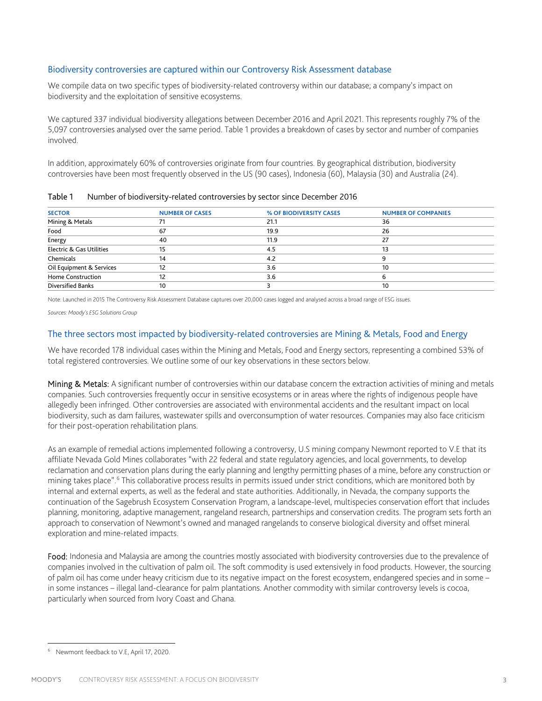# Biodiversity controversies are captured within our Controversy Risk Assessment database

We compile data on two specific types of biodiversity-related controversy within our database; a company's impact on biodiversity and the exploitation of sensitive ecosystems.

We captured 337 individual biodiversity allegations between December 2016 and April 2021. This represents roughly 7% of the 5,097 controversies analysed over the same period. Table 1 provides a breakdown of cases by sector and number of companies involved.

In addition, approximately 60% of controversies originate from four countries. By geographical distribution, biodiversity controversies have been most frequently observed in the US (90 cases), Indonesia (60), Malaysia (30) and Australia (24).

| <b>SECTOR</b>            | <b>NUMBER OF CASES</b> | % OF BIODIVERSITY CASES | <b>NUMBER OF COMPANIES</b> |
|--------------------------|------------------------|-------------------------|----------------------------|
| Mining & Metals          |                        | 21.1                    | 36                         |
| Food                     | 67                     | 19.9                    | 26                         |
| Energy                   | 40                     | 11.9                    | 27                         |
| Electric & Gas Utilities | 15                     | 4.5                     | 13                         |
| Chemicals                | 14                     | 4.2                     |                            |
| Oil Equipment & Services | 12                     | 3.6                     | 10                         |
| <b>Home Construction</b> | 12                     | 3.6                     |                            |
| <b>Diversified Banks</b> | 10                     |                         | 10                         |

Table 1 Number of biodiversity-related controversies by sector since December 2016

Note: Launched in 2015 The Controversy Risk Assessment Database captures over 20,000 cases logged and analysed across a broad range of ESG issues.

*Sources: Moody's ESG Solutions Group* 

# The three sectors most impacted by biodiversity-related controversies are Mining & Metals, Food and Energy

We have recorded 178 individual cases within the Mining and Metals, Food and Energy sectors, representing a combined 53% of total registered controversies. We outline some of our key observations in these sectors below.

Mining & Metals: A significant number of controversies within our database concern the extraction activities of mining and metals companies. Such controversies frequently occur in sensitive ecosystems or in areas where the rights of indigenous people have allegedly been infringed. Other controversies are associated with environmental accidents and the resultant impact on local biodiversity, such as dam failures, wastewater spills and overconsumption of water resources. Companies may also face criticism for their post-operation rehabilitation plans.

As an example of remedial actions implemented following a controversy, U.S mining company Newmont reported to V.E that its affiliate Nevada Gold Mines collaborates "with 22 federal and state regulatory agencies, and local governments, to develop reclamation and conservation plans during the early planning and lengthy permitting phases of a mine, before any construction or mining takes place". [6](#page-2-0) This collaborative process results in permits issued under strict conditions, which are monitored both by internal and external experts, as well as the federal and state authorities. Additionally, in Nevada, the company supports the continuation of the Sagebrush Ecosystem Conservation Program, a landscape-level, multispecies conservation effort that includes planning, monitoring, adaptive management, rangeland research, partnerships and conservation credits. The program sets forth an approach to conservation of Newmont's owned and managed rangelands to conserve biological diversity and offset mineral exploration and mine-related impacts.

Food: Indonesia and Malaysia are among the countries mostly associated with biodiversity controversies due to the prevalence of companies involved in the cultivation of palm oil. The soft commodity is used extensively in food products. However, the sourcing of palm oil has come under heavy criticism due to its negative impact on the forest ecosystem, endangered species and in some – in some instances – illegal land-clearance for palm plantations. Another commodity with similar controversy levels is cocoa, particularly when sourced from Ivory Coast and Ghana.

<span id="page-2-0"></span>Newmont feedback to V.E, April 17, 2020.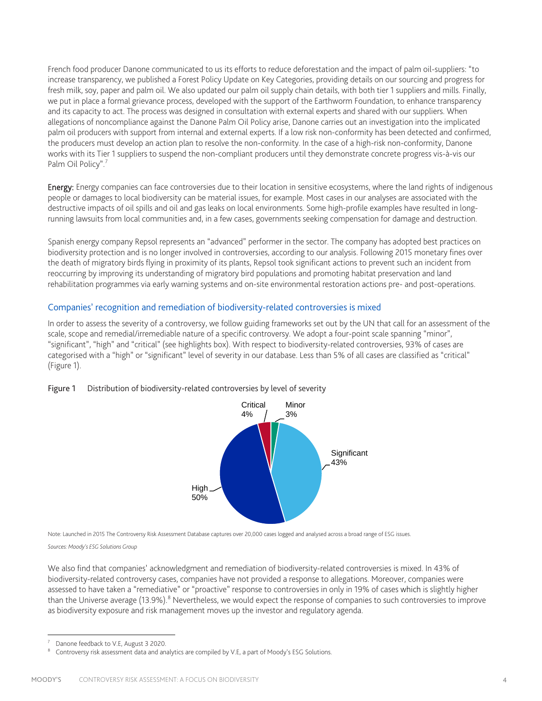French food producer Danone communicated to us its efforts to reduce deforestation and the impact of palm oil-suppliers: "to increase transparency, we published a Forest Policy Update on Key Categories, providing details on our sourcing and progress for fresh milk, soy, paper and palm oil. We also updated our palm oil supply chain details, with both tier 1 suppliers and mills. Finally, we put in place a formal grievance process, developed with the support of the Earthworm Foundation, to enhance transparency and its capacity to act. The process was designed in consultation with external experts and shared with our suppliers. When allegations of noncompliance against the Danone Palm Oil Policy arise, Danone carries out an investigation into the implicated palm oil producers with support from internal and external experts. If a low risk non-conformity has been detected and confirmed, the producers must develop an action plan to resolve the non-conformity. In the case of a high-risk non-conformity, Danone works with its Tier 1 suppliers to suspend the non-compliant producers until they demonstrate concrete progress vis-à-vis our Palm Oil Policy".<sup>[7](#page-3-0)</sup>

Energy: Energy companies can face controversies due to their location in sensitive ecosystems, where the land rights of indigenous people or damages to local biodiversity can be material issues, for example. Most cases in our analyses are associated with the destructive impacts of oil spills and oil and gas leaks on local environments. Some high-profile examples have resulted in longrunning lawsuits from local communities and, in a few cases, governments seeking compensation for damage and destruction.

Spanish energy company Repsol represents an "advanced" performer in the sector. The company has adopted best practices on biodiversity protection and is no longer involved in controversies, according to our analysis. Following 2015 monetary fines over the death of migratory birds flying in proximity of its plants, Repsol took significant actions to prevent such an incident from reoccurring by improving its understanding of migratory bird populations and promoting habitat preservation and land rehabilitation programmes via early warning systems and on-site environmental restoration actions pre- and post-operations.

# Companies' recognition and remediation of biodiversity-related controversies is mixed

In order to assess the severity of a controversy, we follow guiding frameworks set out by the UN that call for an assessment of the scale, scope and remedial/irremediable nature of a specific controversy. We adopt a four-point scale spanning "minor", "significant", "high" and "critical" (see highlights box). With respect to biodiversity-related controversies, 93% of cases are categorised with a "high" or "significant" level of severity in our database. Less than 5% of all cases are classified as "critical" (Figure 1).

# Figure 1 Distribution of biodiversity-related controversies by level of severity



Note: Launched in 2015 The Controversy Risk Assessment Database captures over 20,000 cases logged and analysed across a broad range of ESG issues.

*Sources: Moody's ESG Solutions Group* 

We also find that companies' acknowledgment and remediation of biodiversity-related controversies is mixed. In 43% of biodiversity-related controversy cases, companies have not provided a response to allegations. Moreover, companies were assessed to have taken a "remediative" or "proactive" response to controversies in only in 19% of cases which is slightly higher than the Universe average (13.9%).<sup>[8](#page-3-1)</sup> Nevertheless, we would expect the response of companies to such controversies to improve as biodiversity exposure and risk management moves up the investor and regulatory agenda.

<span id="page-3-1"></span><span id="page-3-0"></span>Danone feedback to V.E, August 3 2020.<br>Controversy risk assessment data and analytics are compiled by V.E, a part of Moody's ESG Solutions.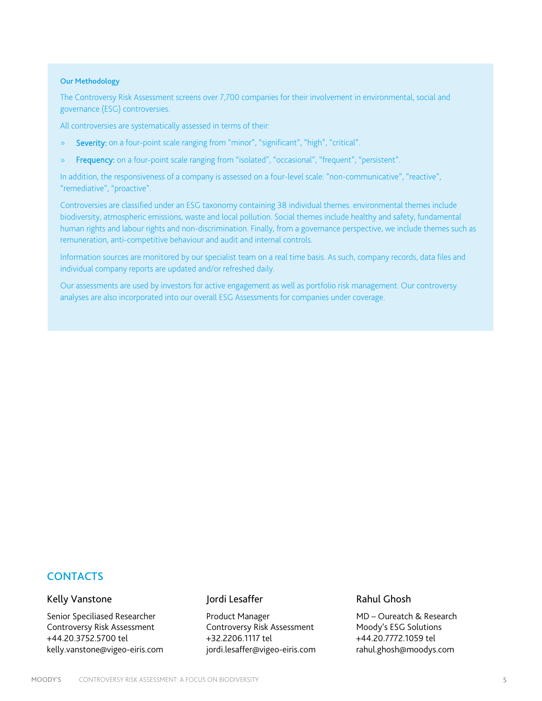#### Our Methodology

The Controversy Risk Assessment screens over 7,700 companies for their involvement in environmental, social and governance (ESG) controversies.

All controversies are systematically assessed in terms of their:

- » Severity: on a four-point scale ranging from "minor", "significant", "high", "critical".
- » Frequency: on a four-point scale ranging from "isolated", "occasional", "frequent", "persistent".

In addition, the responsiveness of a company is assessed on a four-level scale: "non-communicative", "reactive", "remediative", "proactive".

Controversies are classified under an ESG taxonomy containing 38 individual themes. environmental themes include biodiversity, atmospheric emissions, waste and local pollution. Social themes include healthy and safety, fundamental human rights and labour rights and non-discrimination. Finally, from a governance perspective, we include themes such as remuneration, anti-competitive behaviour and audit and internal controls.

Information sources are monitored by our specialist team on a real time basis. As such, company records, data files and individual company reports are updated and/or refreshed daily.

Our assessments are used by investors for active engagement as well as portfolio risk management. Our controversy analyses are also incorporated into our overall ESG Assessments for companies under coverage.

# **CONTACTS**

# Kelly Vanstone

Senior Speciliased Researcher Controversy Risk Assessment +44.20.3752.5700 tel kelly.vanstone@vigeo-eiris.com

# Jordi Lesaffer

Product Manager Controversy Risk Assessment +32.2206.1117 tel jordi.lesaffer@vigeo-eiris.com

# Rahul Ghosh

MD – Oureatch & Research Moody's ESG Solutions +44.20.7772.1059 tel rahul.ghosh@moodys.com